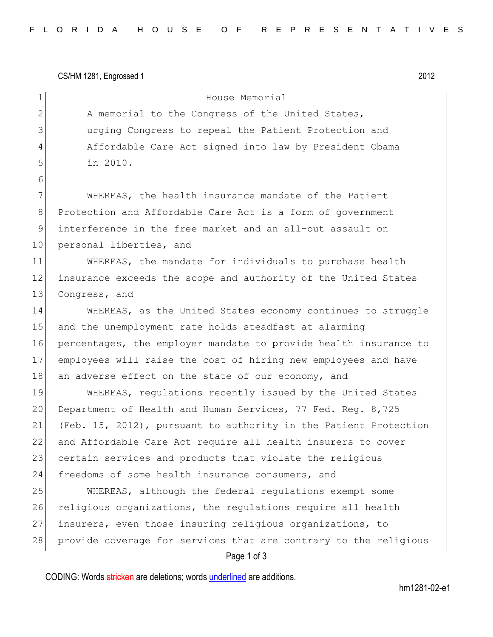CS/HM 1281, Engrossed 1 2012

6

1 House Memorial 2 A memorial to the Congress of the United States, 3 urging Congress to repeal the Patient Protection and 4 Affordable Care Act signed into law by President Obama 5 in 2010.

7 WHEREAS, the health insurance mandate of the Patient 8 Protection and Affordable Care Act is a form of government 9 interference in the free market and an all-out assault on 10 personal liberties, and

11 WHEREAS, the mandate for individuals to purchase health 12 insurance exceeds the scope and authority of the United States 13 Congress, and

14 WHEREAS, as the United States economy continues to struggle 15 and the unemployment rate holds steadfast at alarming 16 percentages, the employer mandate to provide health insurance to 17 employees will raise the cost of hiring new employees and have 18 an adverse effect on the state of our economy, and

19 WHEREAS, regulations recently issued by the United States 20 Department of Health and Human Services, 77 Fed. Reg. 8,725 21 (Feb. 15, 2012), pursuant to authority in the Patient Protection 22 and Affordable Care Act require all health insurers to cover 23 certain services and products that violate the religious 24 freedoms of some health insurance consumers, and

25 WHEREAS, although the federal regulations exempt some 26 religious organizations, the regulations require all health 27 insurers, even those insuring religious organizations, to 28 provide coverage for services that are contrary to the religious

## Page 1 of 3

CODING: Words stricken are deletions; words underlined are additions.

hm1281-02-e1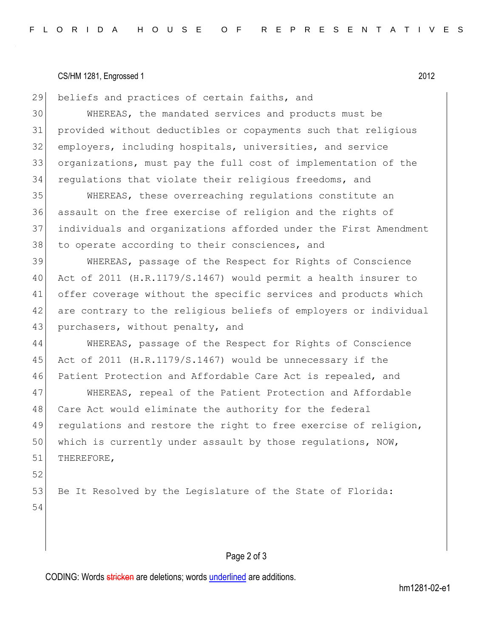## CS/HM 1281, Engrossed 1 2012

beliefs and practices of certain faiths, and

 WHEREAS, the mandated services and products must be provided without deductibles or copayments such that religious employers, including hospitals, universities, and service organizations, must pay the full cost of implementation of the regulations that violate their religious freedoms, and

 WHEREAS, these overreaching regulations constitute an assault on the free exercise of religion and the rights of individuals and organizations afforded under the First Amendment 38 to operate according to their consciences, and

 WHEREAS, passage of the Respect for Rights of Conscience Act of 2011 (H.R.1179/S.1467) would permit a health insurer to offer coverage without the specific services and products which 42 are contrary to the religious beliefs of employers or individual 43 purchasers, without penalty, and

 WHEREAS, passage of the Respect for Rights of Conscience Act of 2011 (H.R.1179/S.1467) would be unnecessary if the Patient Protection and Affordable Care Act is repealed, and

 WHEREAS, repeal of the Patient Protection and Affordable 48 Care Act would eliminate the authority for the federal 49 regulations and restore the right to free exercise of religion, 50 which is currently under assault by those regulations, NOW, THEREFORE,

53 Be It Resolved by the Legislature of the State of Florida:

## 

# Page 2 of 3

CODING: Words stricken are deletions; words underlined are additions.